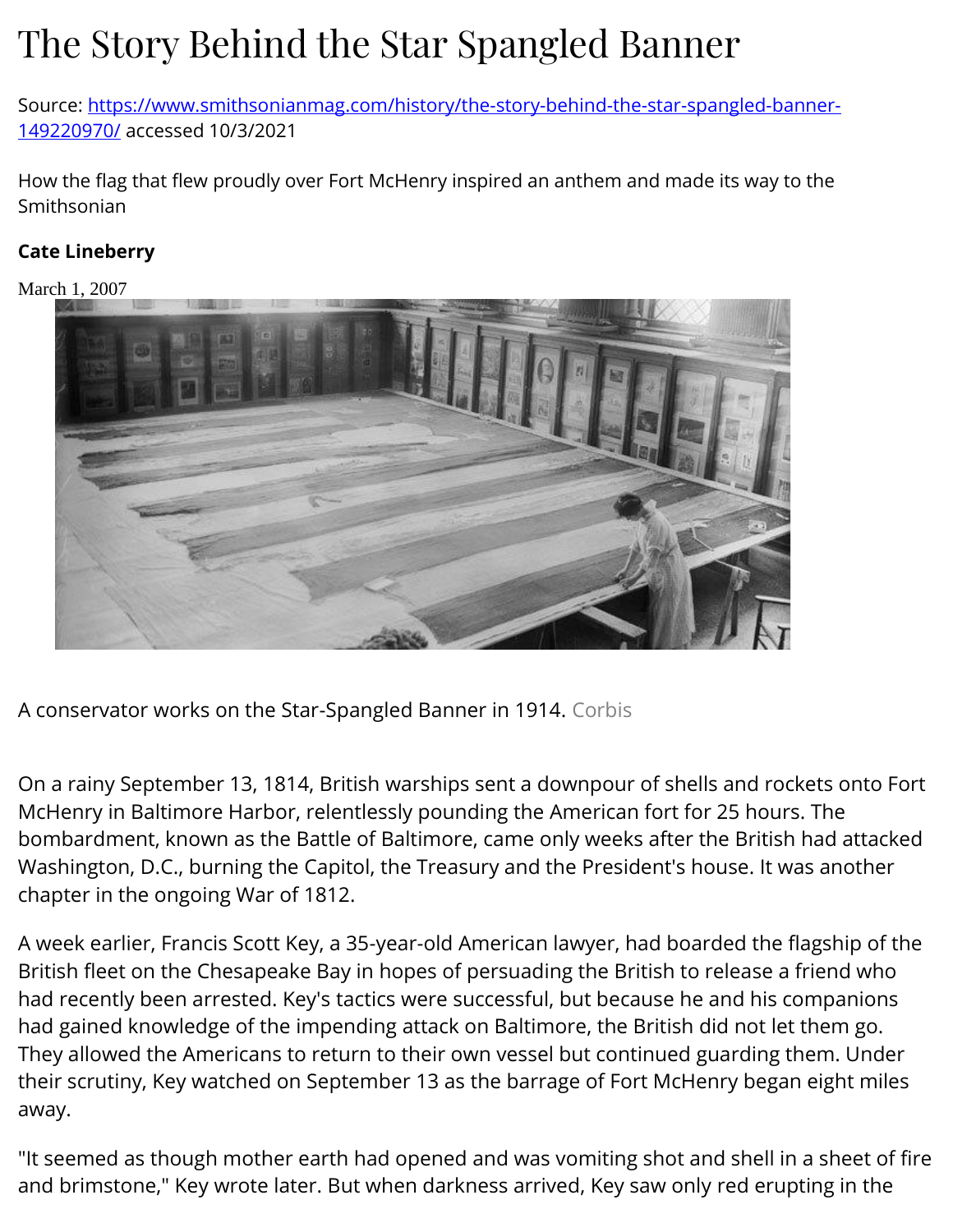# The Story Behind the Star Spangled Banner

Source: [https://www.smithsonianmag.com/history/the-story-behind-the-star-spangled-banner-](https://www.smithsonianmag.com/history/the-story-behind-the-star-spangled-banner-149220970/)[149220970/](https://www.smithsonianmag.com/history/the-story-behind-the-star-spangled-banner-149220970/) accessed 10/3/2021

How the flag that flew proudly over Fort McHenry inspired an anthem and made its way to the Smithsonian

#### **Cate Lineberry**

March 1, 2007



A conservator works on the Star-Spangled Banner in 1914. Corbis

On a rainy September 13, 1814, British warships sent a downpour of shells and rockets onto Fort McHenry in Baltimore Harbor, relentlessly pounding the American fort for 25 hours. The bombardment, known as the Battle of Baltimore, came only weeks after the British had attacked Washington, D.C., burning the Capitol, the Treasury and the President's house. It was another chapter in the ongoing War of 1812.

A week earlier, Francis Scott Key, a 35-year-old American lawyer, had boarded the flagship of the British fleet on the Chesapeake Bay in hopes of persuading the British to release a friend who had recently been arrested. Key's tactics were successful, but because he and his companions had gained knowledge of the impending attack on Baltimore, the British did not let them go. They allowed the Americans to return to their own vessel but continued guarding them. Under their scrutiny, Key watched on September 13 as the barrage of Fort McHenry began eight miles away.

"It seemed as though mother earth had opened and was vomiting shot and shell in a sheet of fire and brimstone," Key wrote later. But when darkness arrived, Key saw only red erupting in the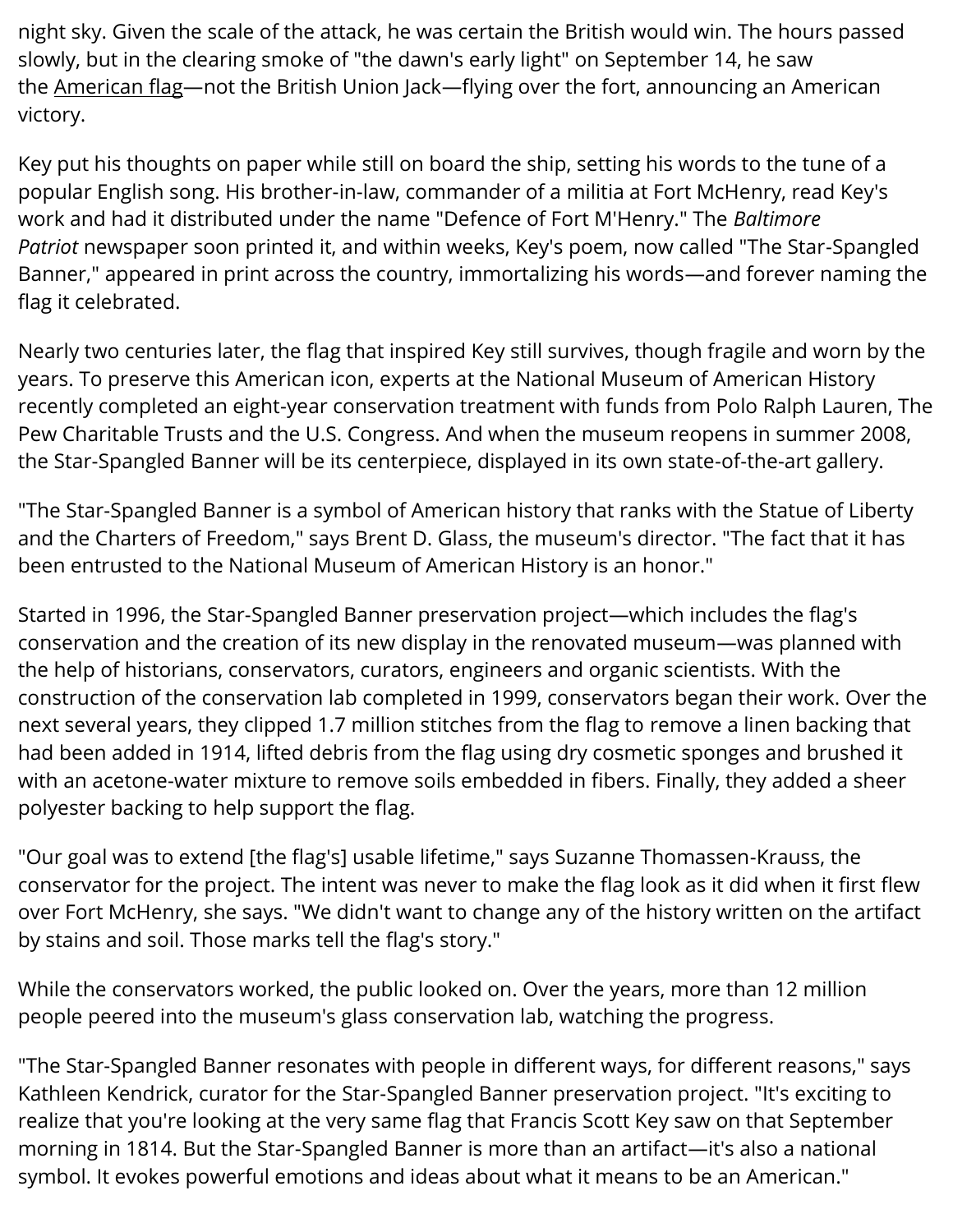night sky. Given the scale of the attack, he was certain the British would win. The hours passed slowly, but in the clearing smoke of "the dawn's early light" on September 14, he saw the [American flag](http://americanhistory.si.edu/starspangledbanner/default.aspx)—not the British Union Jack—flying over the fort, announcing an American victory.

Key put his thoughts on paper while still on board the ship, setting his words to the tune of a popular English song. His brother-in-law, commander of a militia at Fort McHenry, read Key's work and had it distributed under the name "Defence of Fort M'Henry." The *Baltimore Patriot* newspaper soon printed it, and within weeks, Key's poem, now called "The Star-Spangled Banner," appeared in print across the country, immortalizing his words—and forever naming the flag it celebrated.

Nearly two centuries later, the flag that inspired Key still survives, though fragile and worn by the years. To preserve this American icon, experts at the National Museum of American History recently completed an eight-year conservation treatment with funds from Polo Ralph Lauren, The Pew Charitable Trusts and the U.S. Congress. And when the museum reopens in summer 2008, the Star-Spangled Banner will be its centerpiece, displayed in its own state-of-the-art gallery.

"The Star-Spangled Banner is a symbol of American history that ranks with the Statue of Liberty and the Charters of Freedom," says Brent D. Glass, the museum's director. "The fact that it has been entrusted to the National Museum of American History is an honor."

Started in 1996, the Star-Spangled Banner preservation project—which includes the flag's conservation and the creation of its new display in the renovated museum—was planned with the help of historians, conservators, curators, engineers and organic scientists. With the construction of the conservation lab completed in 1999, conservators began their work. Over the next several years, they clipped 1.7 million stitches from the flag to remove a linen backing that had been added in 1914, lifted debris from the flag using dry cosmetic sponges and brushed it with an acetone-water mixture to remove soils embedded in fibers. Finally, they added a sheer polyester backing to help support the flag.

"Our goal was to extend [the flag's] usable lifetime," says Suzanne Thomassen-Krauss, the conservator for the project. The intent was never to make the flag look as it did when it first flew over Fort McHenry, she says. "We didn't want to change any of the history written on the artifact by stains and soil. Those marks tell the flag's story."

While the conservators worked, the public looked on. Over the years, more than 12 million people peered into the museum's glass conservation lab, watching the progress.

"The Star-Spangled Banner resonates with people in different ways, for different reasons," says Kathleen Kendrick, curator for the Star-Spangled Banner preservation project. "It's exciting to realize that you're looking at the very same flag that Francis Scott Key saw on that September morning in 1814. But the Star-Spangled Banner is more than an artifact—it's also a national symbol. It evokes powerful emotions and ideas about what it means to be an American."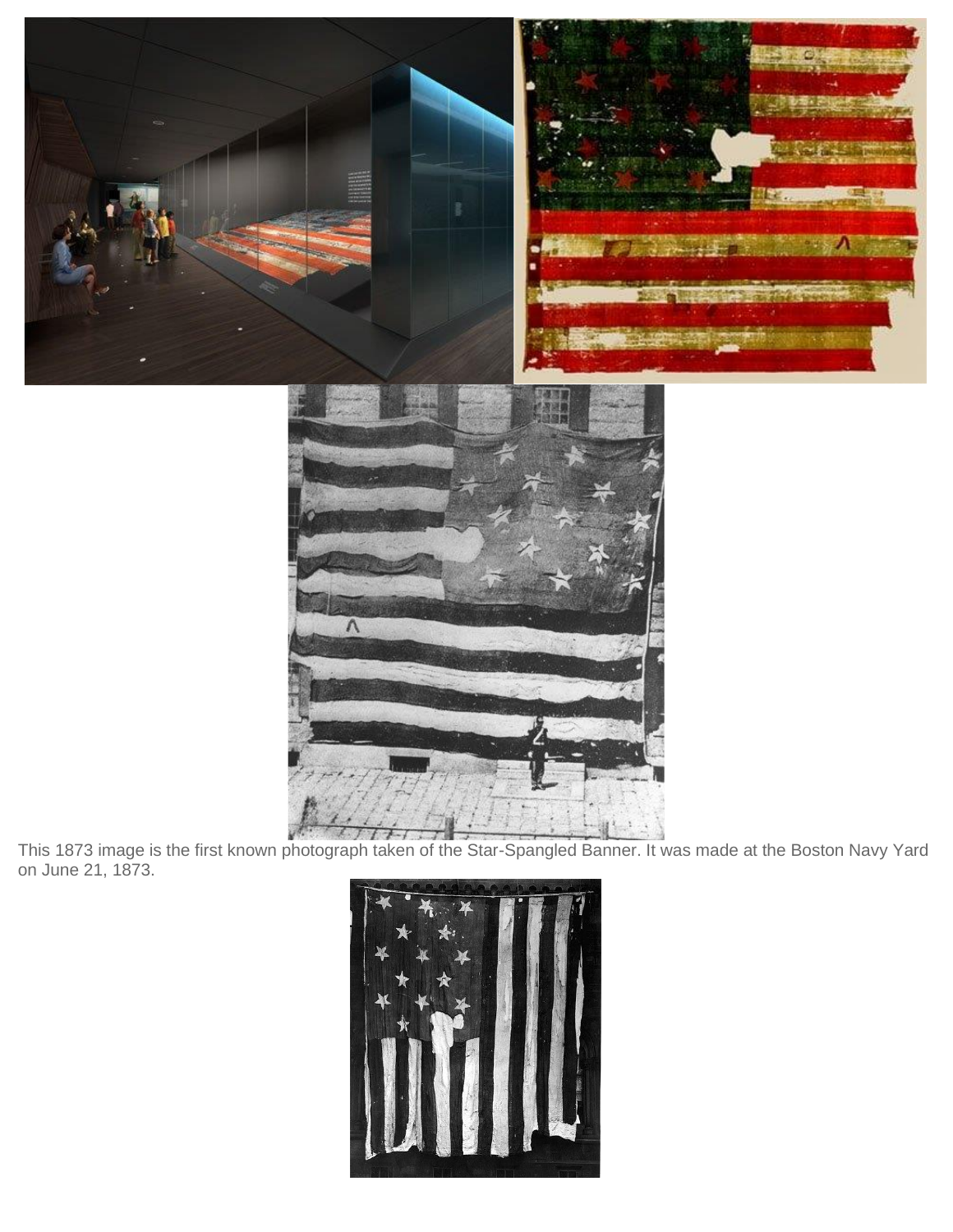



This 1873 image is the first known photograph taken of the Star-Spangled Banner. It was made at the Boston Navy Yard on June 21, 1873.

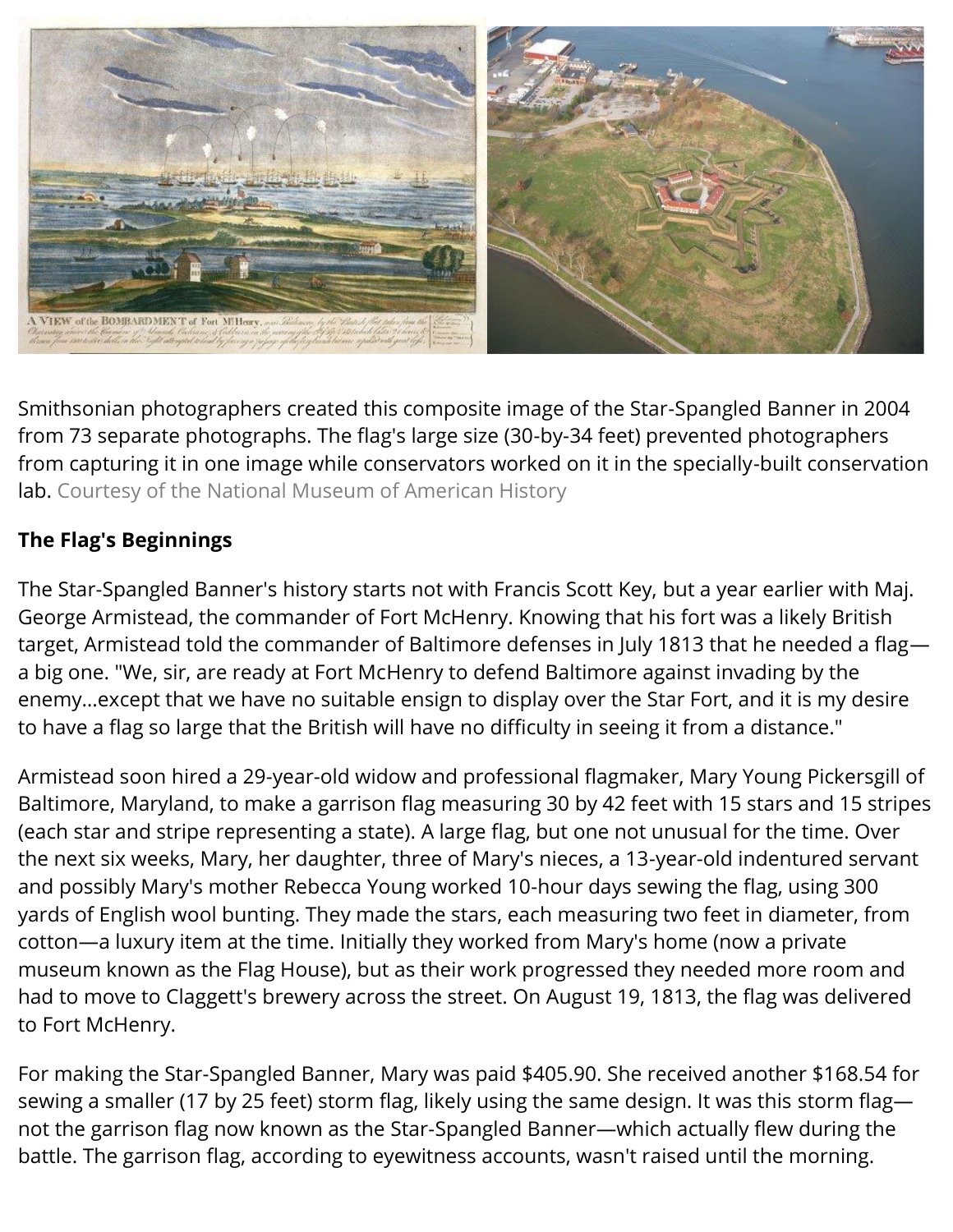

Smithsonian photographers created this composite image of the Star-Spangled Banner in 2004 from 73 separate photographs. The flag's large size (30-by-34 feet) prevented photographers from capturing it in one image while conservators worked on it in the specially-built conservation lab. Courtesy of the National Museum of American History

## **The Flag's Beginnings**

The Star-Spangled Banner's history starts not with Francis Scott Key, but a year earlier with Maj. George Armistead, the commander of Fort McHenry. Knowing that his fort was a likely British target, Armistead told the commander of Baltimore defenses in July 1813 that he needed a flag a big one. "We, sir, are ready at Fort McHenry to defend Baltimore against invading by the enemy…except that we have no suitable ensign to display over the Star Fort, and it is my desire to have a flag so large that the British will have no difficulty in seeing it from a distance."

Armistead soon hired a 29-year-old widow and professional flagmaker, Mary Young Pickersgill of Baltimore, Maryland, to make a garrison flag measuring 30 by 42 feet with 15 stars and 15 stripes (each star and stripe representing a state). A large flag, but one not unusual for the time. Over the next six weeks, Mary, her daughter, three of Mary's nieces, a 13-year-old indentured servant and possibly Mary's mother Rebecca Young worked 10-hour days sewing the flag, using 300 yards of English wool bunting. They made the stars, each measuring two feet in diameter, from cotton—a luxury item at the time. Initially they worked from Mary's home (now a private museum known as the Flag House), but as their work progressed they needed more room and had to move to Claggett's brewery across the street. On August 19, 1813, the flag was delivered to Fort McHenry.

For making the Star-Spangled Banner, Mary was paid \$405.90. She received another \$168.54 for sewing a smaller (17 by 25 feet) storm flag, likely using the same design. It was this storm flag not the garrison flag now known as the Star-Spangled Banner—which actually flew during the battle. The garrison flag, according to eyewitness accounts, wasn't raised until the morning.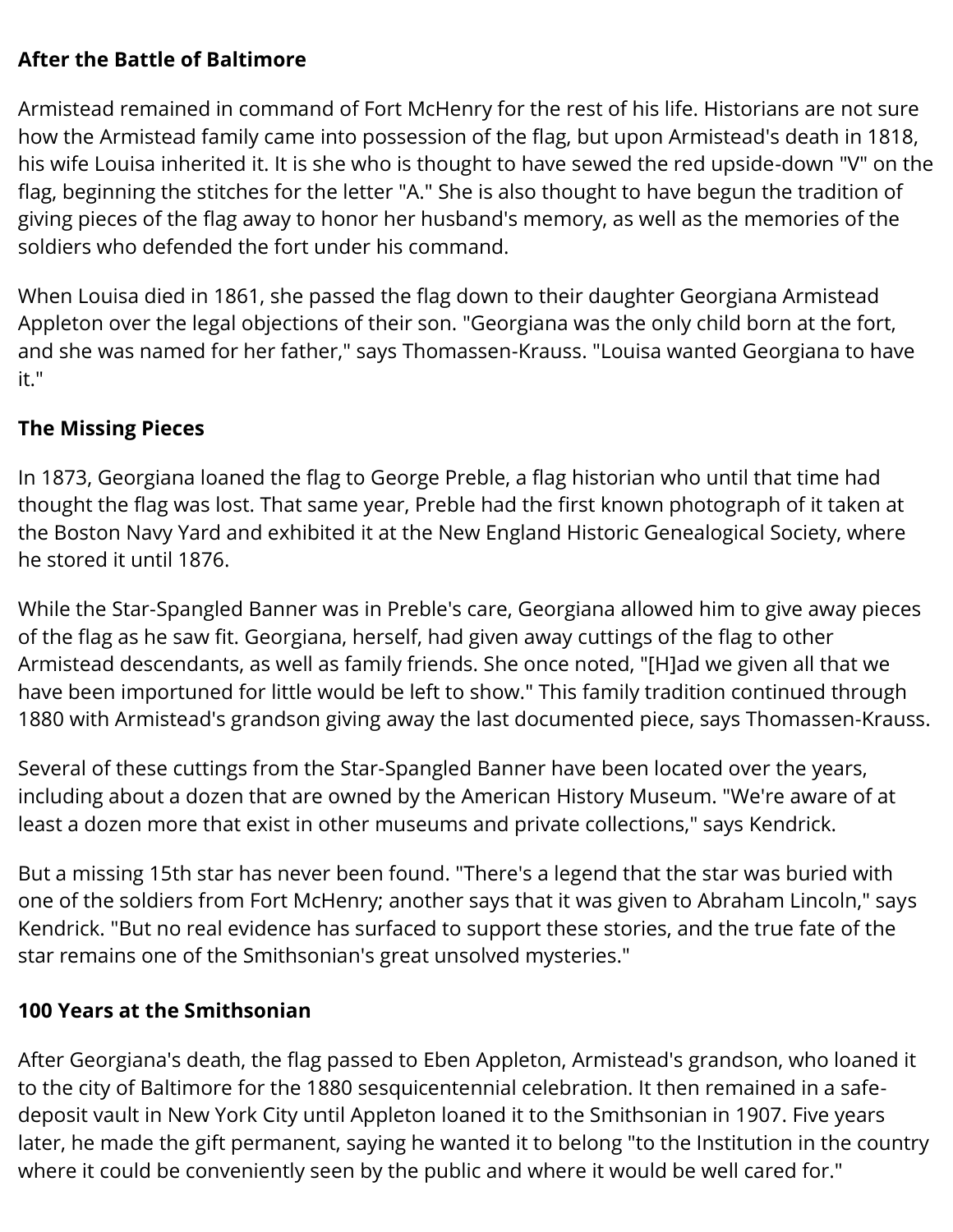## **After the Battle of Baltimore**

Armistead remained in command of Fort McHenry for the rest of his life. Historians are not sure how the Armistead family came into possession of the flag, but upon Armistead's death in 1818, his wife Louisa inherited it. It is she who is thought to have sewed the red upside-down "V" on the flag, beginning the stitches for the letter "A." She is also thought to have begun the tradition of giving pieces of the flag away to honor her husband's memory, as well as the memories of the soldiers who defended the fort under his command.

When Louisa died in 1861, she passed the flag down to their daughter Georgiana Armistead Appleton over the legal objections of their son. "Georgiana was the only child born at the fort, and she was named for her father," says Thomassen-Krauss. "Louisa wanted Georgiana to have it."

## **The Missing Pieces**

In 1873, Georgiana loaned the flag to George Preble, a flag historian who until that time had thought the flag was lost. That same year, Preble had the first known photograph of it taken at the Boston Navy Yard and exhibited it at the New England Historic Genealogical Society, where he stored it until 1876.

While the Star-Spangled Banner was in Preble's care, Georgiana allowed him to give away pieces of the flag as he saw fit. Georgiana, herself, had given away cuttings of the flag to other Armistead descendants, as well as family friends. She once noted, "[H]ad we given all that we have been importuned for little would be left to show." This family tradition continued through 1880 with Armistead's grandson giving away the last documented piece, says Thomassen-Krauss.

Several of these cuttings from the Star-Spangled Banner have been located over the years, including about a dozen that are owned by the American History Museum. "We're aware of at least a dozen more that exist in other museums and private collections," says Kendrick.

But a missing 15th star has never been found. "There's a legend that the star was buried with one of the soldiers from Fort McHenry; another says that it was given to Abraham Lincoln," says Kendrick. "But no real evidence has surfaced to support these stories, and the true fate of the star remains one of the Smithsonian's great unsolved mysteries."

#### **100 Years at the Smithsonian**

After Georgiana's death, the flag passed to Eben Appleton, Armistead's grandson, who loaned it to the city of Baltimore for the 1880 sesquicentennial celebration. It then remained in a safedeposit vault in New York City until Appleton loaned it to the Smithsonian in 1907. Five years later, he made the gift permanent, saying he wanted it to belong "to the Institution in the country where it could be conveniently seen by the public and where it would be well cared for."